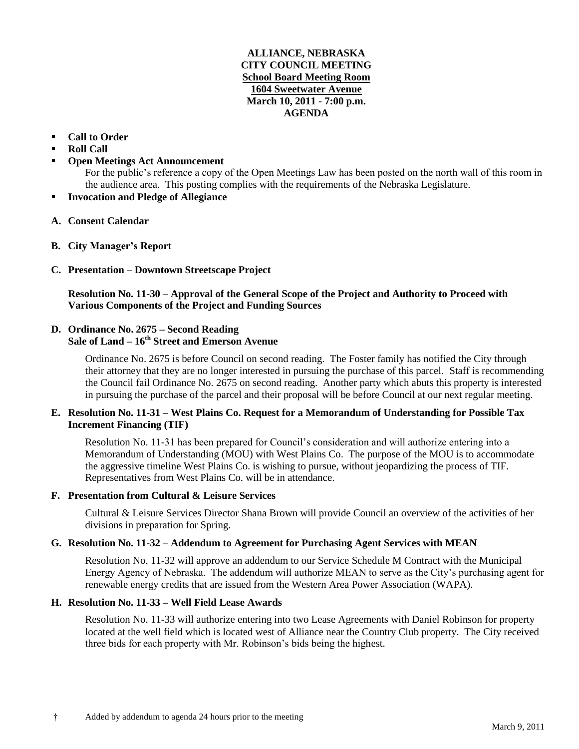## **ALLIANCE, NEBRASKA CITY COUNCIL MEETING School Board Meeting Room 1604 Sweetwater Avenue March 10, 2011 - 7:00 p.m. AGENDA**

- **Call to Order**
- **Roll Call**
- **Open Meetings Act Announcement**

For the public's reference a copy of the Open Meetings Law has been posted on the north wall of this room in the audience area. This posting complies with the requirements of the Nebraska Legislature.

- **Invocation and Pledge of Allegiance**
- **A. Consent Calendar**
- **B. City Manager's Report**
- **C. Presentation – Downtown Streetscape Project**

**Resolution No. 11-30 – Approval of the General Scope of the Project and Authority to Proceed with Various Components of the Project and Funding Sources**

# **D. Ordinance No. 2675 – Second Reading**

# **Sale of Land – 16th Street and Emerson Avenue**

Ordinance No. 2675 is before Council on second reading. The Foster family has notified the City through their attorney that they are no longer interested in pursuing the purchase of this parcel. Staff is recommending the Council fail Ordinance No. 2675 on second reading. Another party which abuts this property is interested in pursuing the purchase of the parcel and their proposal will be before Council at our next regular meeting.

## **E. Resolution No. 11-31 – West Plains Co. Request for a Memorandum of Understanding for Possible Tax Increment Financing (TIF)**

Resolution No. 11-31 has been prepared for Council's consideration and will authorize entering into a Memorandum of Understanding (MOU) with West Plains Co. The purpose of the MOU is to accommodate the aggressive timeline West Plains Co. is wishing to pursue, without jeopardizing the process of TIF. Representatives from West Plains Co. will be in attendance.

### **F. Presentation from Cultural & Leisure Services**

Cultural & Leisure Services Director Shana Brown will provide Council an overview of the activities of her divisions in preparation for Spring.

### **G. Resolution No. 11-32 – Addendum to Agreement for Purchasing Agent Services with MEAN**

Resolution No. 11-32 will approve an addendum to our Service Schedule M Contract with the Municipal Energy Agency of Nebraska. The addendum will authorize MEAN to serve as the City's purchasing agent for renewable energy credits that are issued from the Western Area Power Association (WAPA).

### **H. Resolution No. 11-33 – Well Field Lease Awards**

Resolution No. 11-33 will authorize entering into two Lease Agreements with Daniel Robinson for property located at the well field which is located west of Alliance near the Country Club property. The City received three bids for each property with Mr. Robinson's bids being the highest.